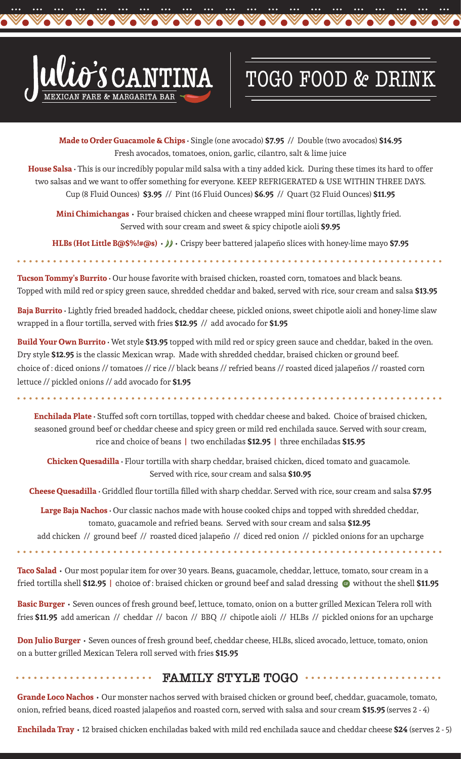

VoVoVo

## TOGO FOOD & DRINK

Vovovovo

**Made to Order Guacamole & Chips** • Single (one avocado) **\$7.95** // Double (two avocados) **\$14.95** Fresh avocados, tomatoes, onion, garlic, cilantro, salt & lime juice

Vovovo

**Vo** 

**House Salsa** • This is our incredibly popular mild salsa with a tiny added kick. During these times its hard to offer two salsas and we want to offer something for everyone. KEEP REFRIGERATED & USE WITHIN THREE DAYS. Cup (8 Fluid Ounces) **\$3.95** // Pint (16 Fluid Ounces) **\$6.95** // Quart (32 Fluid Ounces) **\$11.95**

**Mini Chimichangas •** Four braised chicken and cheese wrapped mini flour tortillas, lightly fried. Served with sour cream and sweet & spicy chipotle aioli **\$9.95**

HLBs (Hot Little B@\$%!#@s)  $\cdot$   $\cdot$   $\cdot$  Crispy beer battered jalapeño slices with honey-lime mayo \$7.95

**Tucson Tommy's Burrito** • Our house favorite with braised chicken, roasted corn, tomatoes and black beans. Topped with mild red or spicy green sauce, shredded cheddar and baked, served with rice, sour cream and salsa **\$13.95**

**Baja Burrito** • Lightly fried breaded haddock, cheddar cheese, pickled onions, sweet chipotle aioli and honey-lime slaw wrapped in a flour tortilla, served with fries **\$12.95** // add avocado for **\$1.95**

**Build Your Own Burrito** • Wet style **\$13.95** topped with mild red or spicy green sauce and cheddar, baked in the oven. Dry style **\$12.95** is the classic Mexican wrap. Made with shredded cheddar, braised chicken or ground beef. choice of : diced onions // tomatoes // rice // black beans // refried beans // roasted diced jalapeños // roasted corn lettuce // pickled onions // add avocado for **\$1.95**

**Enchilada Plate** • Stuffed soft corn tortillas, topped with cheddar cheese and baked. Choice of braised chicken, seasoned ground beef or cheddar cheese and spicy green or mild red enchilada sauce. Served with sour cream, rice and choice of beans **|** two enchiladas **\$12.95 |** three enchiladas **\$15.95**

**Chicken Quesadilla** • Flour tortilla with sharp cheddar, braised chicken, diced tomato and guacamole. Served with rice, sour cream and salsa **\$10.95**

**Cheese Quesadilla** • Griddled flour tortilla filled with sharp cheddar. Served with rice, sour cream and salsa **\$7.95**

**Large Baja Nachos** • Our classic nachos made with house cooked chips and topped with shredded cheddar, tomato, guacamole and refried beans. Served with sour cream and salsa **\$12.95**

add chicken // ground beef // roasted diced jalapeño // diced red onion // pickled onions for an upcharge

**Taco Salad •** Our most popular item for over 30 years. Beans, guacamole, cheddar, lettuce, tomato, sour cream in a fried tortilla shell **\$12.95 |** choice of : braised chicken or ground beef and salad dressing without the shell **\$11.95**

**Basic Burger •** Seven ounces of fresh ground beef, lettuce, tomato, onion on a butter grilled Mexican Telera roll with fries **\$11.95** add american // cheddar // bacon // BBQ // chipotle aioli // HLBs // pickled onions for an upcharge

**Don Julio Burger •** Seven ounces of fresh ground beef, cheddar cheese, HLBs, sliced avocado, lettuce, tomato, onion on a butter grilled Mexican Telera roll served with fries **\$15.95**

## **FAMILY STYLE TOGO** . . . . . . . . . . . . . . . . . .

**Grande Loco Nachos •** Our monster nachos served with braised chicken or ground beef, cheddar, guacamole, tomato, onion, refried beans, diced roasted jalapeños and roasted corn, served with salsa and sour cream **\$15.95** (serves 2 - 4)

**Enchilada Tray •** 12 braised chicken enchiladas baked with mild red enchilada sauce and cheddar cheese **\$24** (serves 2 - 5)